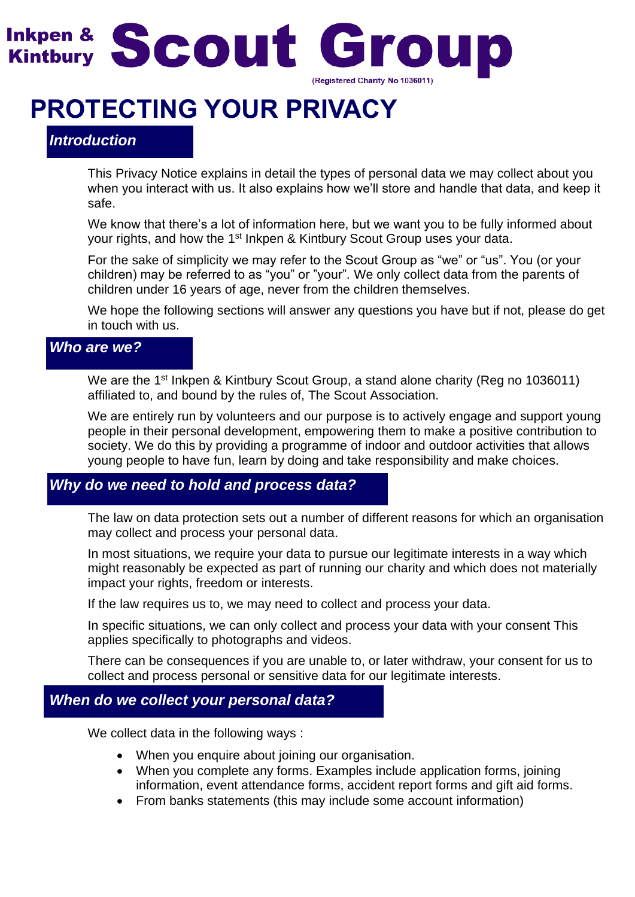

# **PROTECTING YOUR PRIVACY**

# *Introduction*

This Privacy Notice explains in detail the types of personal data we may collect about you when you interact with us. It also explains how we'll store and handle that data, and keep it safe.

We know that there's a lot of information here, but we want you to be fully informed about your rights, and how the 1<sup>st</sup> Inkpen & Kintbury Scout Group uses your data.

For the sake of simplicity we may refer to the Scout Group as "we" or "us". You (or your children) may be referred to as "you" or "your". We only collect data from the parents of children under 16 years of age, never from the children themselves.

We hope the following sections will answer any questions you have but if not, please do get in touch with us.

## *Who are we?*

We are the 1<sup>st</sup> Inkpen & Kintbury Scout Group, a stand alone charity (Reg no 1036011) affiliated to, and bound by the rules of, The Scout Association.

We are entirely run by volunteers and our purpose is to actively engage and support young people in their personal development, empowering them to make a positive contribution to society. We do this by providing a programme of indoor and outdoor activities that allows young people to have fun, learn by doing and take responsibility and make choices.

### *Why do we need to hold and process data?*

The law on data protection sets out a number of different reasons for which an organisation may collect and process your personal data.

In most situations, we require your data to pursue our legitimate interests in a way which might reasonably be expected as part of running our charity and which does not materially impact your rights, freedom or interests.

If the law requires us to, we may need to collect and process your data.

In specific situations, we can only collect and process your data with your consent This applies specifically to photographs and videos.

There can be consequences if you are unable to, or later withdraw, your consent for us to collect and process personal or sensitive data for our legitimate interests.

# *When do we collect your personal data?*

We collect data in the following ways :

- When you enquire about joining our organisation.
- When you complete any forms. Examples include application forms, joining information, event attendance forms, accident report forms and gift aid forms.
- From banks statements (this may include some account information)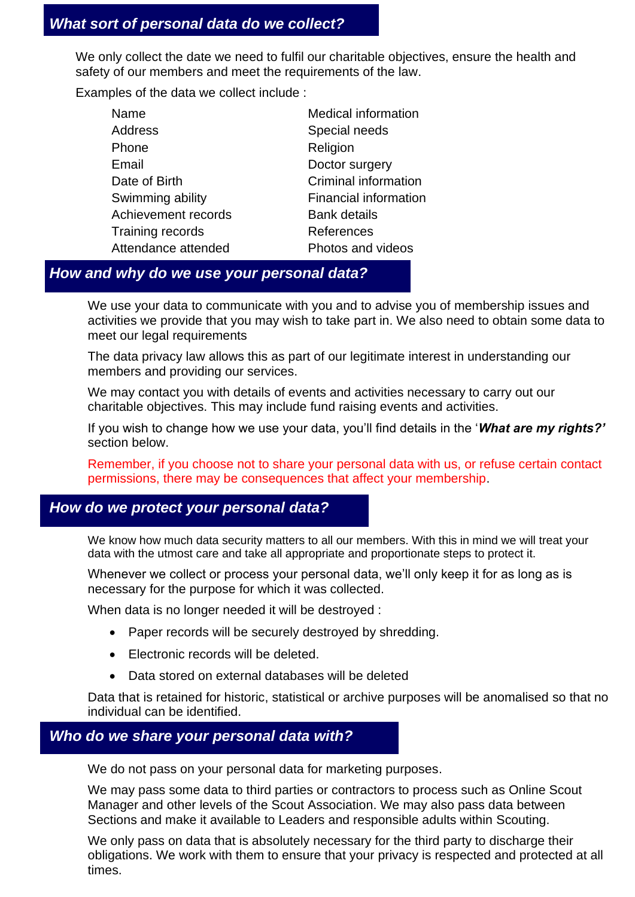We only collect the date we need to fulfil our charitable objectives, ensure the health and safety of our members and meet the requirements of the law.

Examples of the data we collect include :

| Name                    | <b>Medical information</b>   |
|-------------------------|------------------------------|
| Address                 | Special needs                |
| Phone                   | Religion                     |
| Email                   | Doctor surgery               |
| Date of Birth           | Criminal information         |
| Swimming ability        | <b>Financial information</b> |
| Achievement records     | <b>Bank details</b>          |
| <b>Training records</b> | References                   |
| Attendance attended     | Photos and videos            |

## *How and why do we use your personal data?*

We use your data to communicate with you and to advise you of membership issues and activities we provide that you may wish to take part in. We also need to obtain some data to meet our legal requirements

The data privacy law allows this as part of our legitimate interest in understanding our members and providing our services.

We may contact you with details of events and activities necessary to carry out our charitable objectives. This may include fund raising events and activities.

If you wish to change how we use your data, you'll find details in the '*What are my rights?'* section below.

Remember, if you choose not to share your personal data with us, or refuse certain contact permissions, there may be consequences that affect your membership.

## *How do we protect your personal data?*

We know how much data security matters to all our members. With this in mind we will treat your data with the utmost care and take all appropriate and proportionate steps to protect it.

Whenever we collect or process your personal data, we'll only keep it for as long as is necessary for the purpose for which it was collected.

When data is no longer needed it will be destroyed :

- Paper records will be securely destroyed by shredding.
- Electronic records will be deleted.
- Data stored on external databases will be deleted

Data that is retained for historic, statistical or archive purposes will be anomalised so that no individual can be identified.

# *Who do we share your personal data with?*

We do not pass on your personal data for marketing purposes.

We may pass some data to third parties or contractors to process such as Online Scout Manager and other levels of the Scout Association. We may also pass data between Sections and make it available to Leaders and responsible adults within Scouting.

We only pass on data that is absolutely necessary for the third party to discharge their obligations. We work with them to ensure that your privacy is respected and protected at all times.